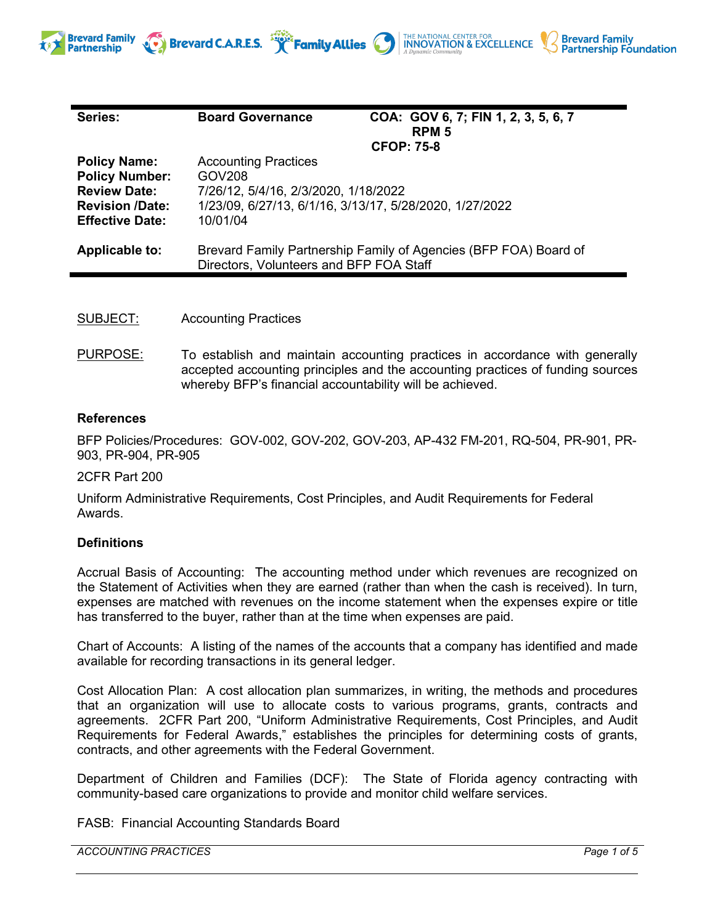

THE NATIONAL CENTER FOR **INNOVATION & EXCELLENCE** 

**Brevard Family** 

**Partnership Foundation** 

Brevard C.A.R.E.S. **Framily Allies** 

- SUBJECT: Accounting Practices
- PURPOSE: To establish and maintain accounting practices in accordance with generally accepted accounting principles and the accounting practices of funding sources whereby BFP's financial accountability will be achieved.

### **References**

**Brevard Family** 

**Partnership** 

BFP Policies/Procedures: GOV-002, GOV-202, GOV-203, AP-432 FM-201, RQ-504, PR-901, PR-903, PR-904, PR-905

2CFR Part 200

Uniform Administrative Requirements, Cost Principles, and Audit Requirements for Federal Awards.

#### **Definitions**

Accrual Basis of Accounting: The accounting method under which revenues are recognized on the Statement of Activities when they are earned (rather than when the cash is received). In turn, expenses are matched with revenues on the income statement when the expenses expire or title has transferred to the buyer, rather than at the time when expenses are paid.

Chart of Accounts: A listing of the names of the accounts that a company has identified and made available for recording transactions in its [general](http://www.accountingcoach.com/accounting-terms/accounting-dictionary/accounting-terms-G.html#general%20ledger) ledger.

Cost Allocation Plan: A cost allocation plan summarizes, in writing, the methods and procedures that an organization will use to allocate costs to various programs, grants, contracts and agreements. 2CFR Part 200, "Uniform Administrative Requirements, Cost Principles, and Audit Requirements for Federal Awards," establishes the principles for determining costs of grants, contracts, and other agreements with the Federal Government.

Department of Children and Families (DCF): The State of Florida agency contracting with community-based care organizations to provide and monitor child welfare services.

FASB: Financial Accounting Standards Board

*ACCOUNTING PRACTICES Page 1 of 5*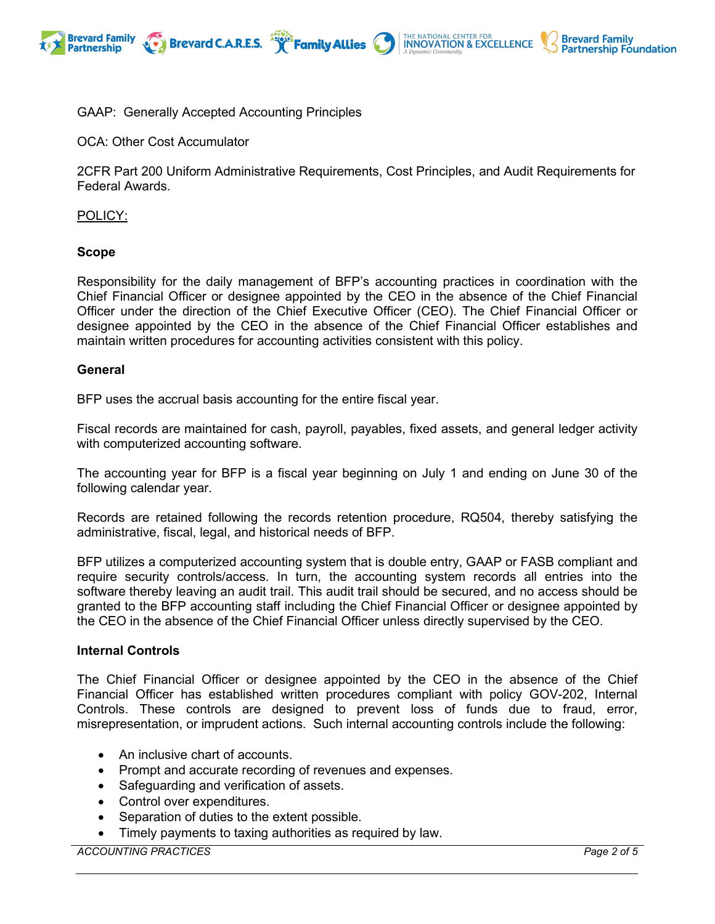



# GAAP: Generally Accepted Accounting Principles

Brevard C.A.R.E.S. **The Family Allies** 

OCA: Other Cost Accumulator

2CFR Part 200 Uniform Administrative Requirements, Cost Principles, and Audit Requirements for Federal Awards.

POLICY:

#### **Scope**

Responsibility for the daily management of BFP's accounting practices in coordination with the Chief Financial Officer or designee appointed by the CEO in the absence of the Chief Financial Officer under the direction of the Chief Executive Officer (CEO). The Chief Financial Officer or designee appointed by the CEO in the absence of the Chief Financial Officer establishes and maintain written procedures for accounting activities consistent with this policy.

#### **General**

BFP uses the accrual basis accounting for the entire fiscal year.

Fiscal records are maintained for cash, payroll, payables, fixed assets, and general ledger activity with computerized accounting software.

The accounting year for BFP is a fiscal year beginning on July 1 and ending on June 30 of the following calendar year.

Records are retained following the records retention procedure, RQ504, thereby satisfying the administrative, fiscal, legal, and historical needs of BFP.

BFP utilizes a computerized accounting system that is double entry, GAAP or FASB compliant and require security controls/access. In turn, the accounting system records all entries into the software thereby leaving an audit trail. This audit trail should be secured, and no access should be granted to the BFP accounting staff including the Chief Financial Officer or designee appointed by the CEO in the absence of the Chief Financial Officer unless directly supervised by the CEO.

### **Internal Controls**

The Chief Financial Officer or designee appointed by the CEO in the absence of the Chief Financial Officer has established written procedures compliant with policy GOV-202, Internal Controls. These controls are designed to prevent loss of funds due to fraud, error, misrepresentation, or imprudent actions. Such internal accounting controls include the following:

- An inclusive chart of accounts.
- Prompt and accurate recording of revenues and expenses.
- Safeguarding and verification of assets.
- Control over expenditures.
- Separation of duties to the extent possible.
- Timely payments to taxing authorities as required by law.

*ACCOUNTING PRACTICES Page 2 of 5*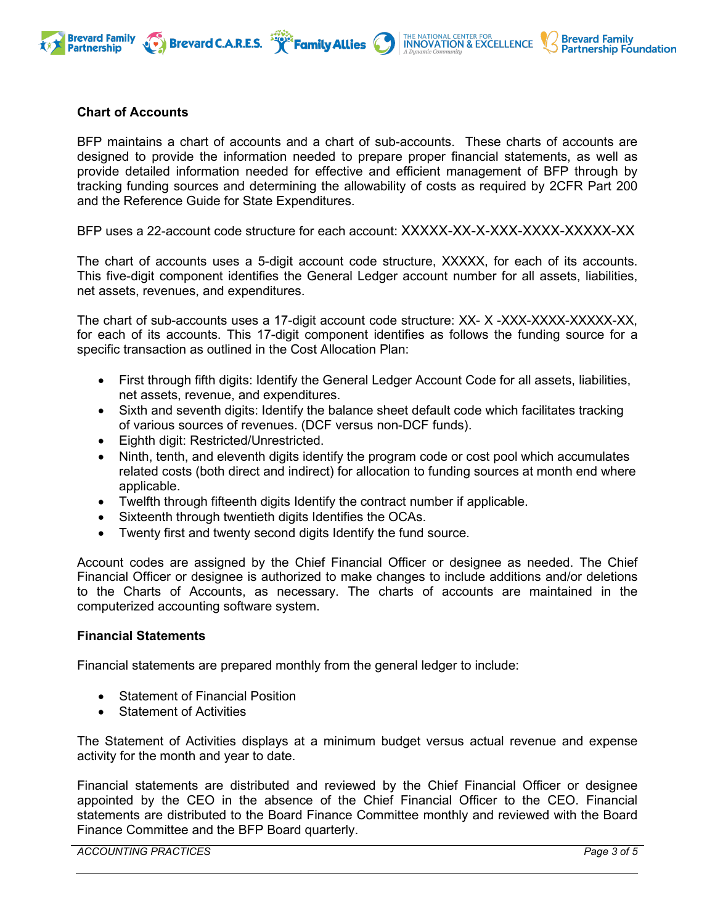

BFP maintains a chart of accounts and a chart of sub-accounts. These charts of accounts are designed to provide the information needed to prepare proper financial statements, as well as provide detailed information needed for effective and efficient management of BFP through by tracking funding sources and determining the allowability of costs as required by 2CFR Part 200 and the Reference Guide for State Expenditures.

THE NATIONAL CENTER FOR<br>INNOVATION & EXCELLENCE

**Brevard Family** 

**Partnership Foundation** 

BFP uses a 22-account code structure for each account: XXXXX-XX-X-XXX-XXXX-XXXXX-XX

The chart of accounts uses a 5-digit account code structure, XXXXX, for each of its accounts. This five-digit component identifies the General Ledger account number for all assets, liabilities, net assets, revenues, and expenditures.

The chart of sub-accounts uses a 17-digit account code structure: XX- X -XXX-XXXX-XXXXX-XX, for each of its accounts. This 17-digit component identifies as follows the funding source for a specific transaction as outlined in the Cost Allocation Plan:

- First through fifth digits: Identify the General Ledger Account Code for all assets, liabilities, net assets, revenue, and expenditures.
- Sixth and seventh digits: Identify the balance sheet default code which facilitates tracking of various sources of revenues. (DCF versus non-DCF funds).
- Eighth digit: Restricted/Unrestricted.
- Ninth, tenth, and eleventh digits identify the program code or cost pool which accumulates related costs (both direct and indirect) for allocation to funding sources at month end where applicable.
- Twelfth through fifteenth digits Identify the contract number if applicable.
- Sixteenth through twentieth digits Identifies the OCAs.
- Twenty first and twenty second digits Identify the fund source.

Account codes are assigned by the Chief Financial Officer or designee as needed. The Chief Financial Officer or designee is authorized to make changes to include additions and/or deletions to the Charts of Accounts, as necessary. The charts of accounts are maintained in the computerized accounting software system.

### **Financial Statements**

Financial statements are prepared monthly from the general ledger to include:

- Statement of Financial Position
- **Statement of Activities**

The Statement of Activities displays at a minimum budget versus actual revenue and expense activity for the month and year to date.

Financial statements are distributed and reviewed by the Chief Financial Officer or designee appointed by the CEO in the absence of the Chief Financial Officer to the CEO. Financial statements are distributed to the Board Finance Committee monthly and reviewed with the Board Finance Committee and the BFP Board quarterly.

*ACCOUNTING PRACTICES Page 3 of 5*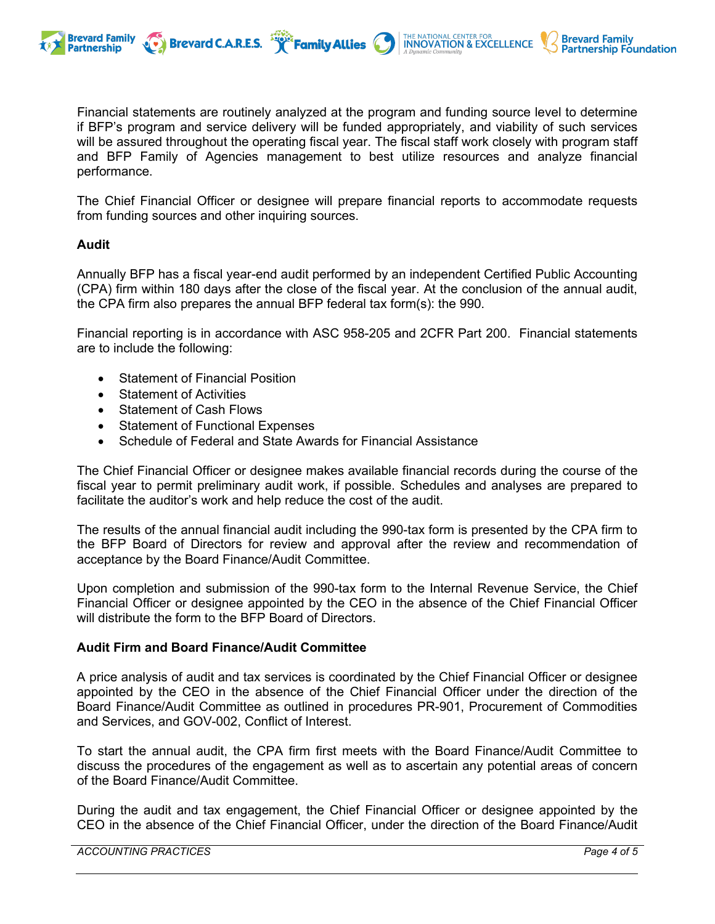

Financial statements are routinely analyzed at the program and funding source level to determine if BFP's program and service delivery will be funded appropriately, and viability of such services will be assured throughout the operating fiscal year. The fiscal staff work closely with program staff and BFP Family of Agencies management to best utilize resources and analyze financial performance.

THE NATIONAL CENTER FOR **INNOVATION & EXCELLENCE** 

**Brevard Family** 

**Partnership Foundation** 

The Chief Financial Officer or designee will prepare financial reports to accommodate requests from funding sources and other inquiring sources.

# **Audit**

Annually BFP has a fiscal year-end audit performed by an independent Certified Public Accounting (CPA) firm within 180 days after the close of the fiscal year. At the conclusion of the annual audit, the CPA firm also prepares the annual BFP federal tax form(s): the 990.

Financial reporting is in accordance with ASC 958-205 and 2CFR Part 200. Financial statements are to include the following:

- Statement of Financial Position
- Statement of Activities
- Statement of Cash Flows
- Statement of Functional Expenses
- Schedule of Federal and State Awards for Financial Assistance

Brevard C.A.R.E.S. **Family Allies** 

The Chief Financial Officer or designee makes available financial records during the course of the fiscal year to permit preliminary audit work, if possible. Schedules and analyses are prepared to facilitate the auditor's work and help reduce the cost of the audit.

The results of the annual financial audit including the 990-tax form is presented by the CPA firm to the BFP Board of Directors for review and approval after the review and recommendation of acceptance by the Board Finance/Audit Committee.

Upon completion and submission of the 990-tax form to the Internal Revenue Service, the Chief Financial Officer or designee appointed by the CEO in the absence of the Chief Financial Officer will distribute the form to the BFP Board of Directors.

# **Audit Firm and Board Finance/Audit Committee**

A price analysis of audit and tax services is coordinated by the Chief Financial Officer or designee appointed by the CEO in the absence of the Chief Financial Officer under the direction of the Board Finance/Audit Committee as outlined in procedures PR-901, Procurement of Commodities and Services, and GOV-002, Conflict of Interest.

To start the annual audit, the CPA firm first meets with the Board Finance/Audit Committee to discuss the procedures of the engagement as well as to ascertain any potential areas of concern of the Board Finance/Audit Committee.

During the audit and tax engagement, the Chief Financial Officer or designee appointed by the CEO in the absence of the Chief Financial Officer, under the direction of the Board Finance/Audit